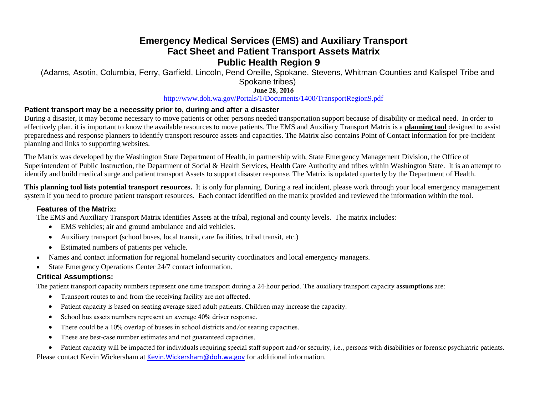## **Emergency Medical Services (EMS) and Auxiliary Transport Fact Sheet and Patient Transport Assets Matrix Public Health Region 9**

(Adams, Asotin, Columbia, Ferry, Garfield, Lincoln, Pend Oreille, Spokane, Stevens, Whitman Counties and Kalispel Tribe and Spokane tribes)

June 28, 2016

<http://www.doh.wa.gov/Portals/1/Documents/1400/TransportRegion9.pdf>

## **Patient transport may be a necessity prior to, during and after a disaster**

During a disaster, it may become necessary to move patients or other persons needed transportation support because of disability or medical need. In order to effectively plan, it is important to know the available resources to move patients. The EMS and Auxiliary Transport Matrix is a **planning tool** designed to assist preparedness and response planners to identify transport resource assets and capacities. The Matrix also contains Point of Contact information for pre-incident planning and links to supporting websites.

The Matrix was developed by the Washington State Department of Health, in partnership with, State Emergency Management Division, the Office of Superintendent of Public Instruction, the Department of Social & Health Services, Health Care Authority and tribes within Washington State. It is an attempt to identify and build medical surge and patient transport Assets to support disaster response. The Matrix is updated quarterly by the Department of Health.

**This planning tool lists potential transport resources.** It is only for planning. During a real incident, please work through your local emergency management system if you need to procure patient transport resources. Each contact identified on the matrix provided and reviewed the information within the tool.

#### **Features of the Matrix:**

The EMS and Auxiliary Transport Matrix identifies Assets at the tribal, regional and county levels. The matrix includes:

- EMS vehicles; air and ground ambulance and aid vehicles.
- Auxiliary transport (school buses, local transit, care facilities, tribal transit, etc.)
- Estimated numbers of patients per vehicle.
- Names and contact information for regional homeland security coordinators and local emergency managers.
- State Emergency Operations Center 24/7 contact information.

## **Critical Assumptions:**

The patient transport capacity numbers represent one time transport during a 24-hour period. The auxiliary transport capacity assumptions are:

- Transport routes to and from the receiving facility are not affected.
- Patient capacity is based on seating average sized adult patients. Children may increase the capacity.
- School bus assets numbers represent an average 40% driver response.
- There could be a 10% overlap of busses in school districts and/or seating capacities.
- These are best-case number estimates and not guaranteed capacities.

• Patient capacity will be impacted for individuals requiring special staff support and/or security, i.e., persons with disabilities or forensic psychiatric patients. Please contact Kevin Wickersham at [Kevin.Wickersham@doh.wa.gov](mailto:Kevin.Wickersham@doh.wa.gov) for additional information.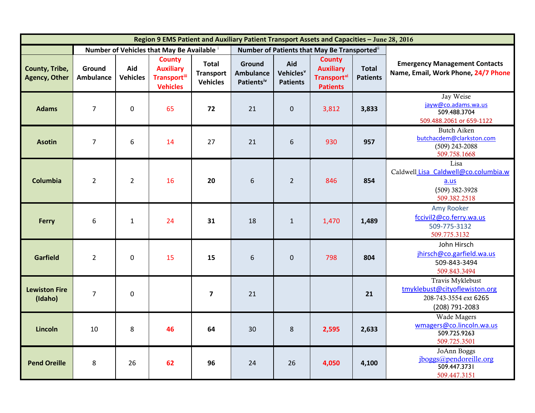| Region 9 EMS Patient and Auxiliary Patient Transport Assets and Capacities - June 28, 2016 |                            |                        |                                                                              |                                                     |                                                      |                                                 |                                                                             |                                 |                                                                                              |
|--------------------------------------------------------------------------------------------|----------------------------|------------------------|------------------------------------------------------------------------------|-----------------------------------------------------|------------------------------------------------------|-------------------------------------------------|-----------------------------------------------------------------------------|---------------------------------|----------------------------------------------------------------------------------------------|
|                                                                                            |                            |                        | Number of Vehicles that May Be Available                                     |                                                     | Number of Patients that May Be Transported"          |                                                 |                                                                             |                                 |                                                                                              |
| County, Tribe,<br><b>Agency, Other</b>                                                     | Ground<br><b>Ambulance</b> | Aid<br><b>Vehicles</b> | <b>County</b><br><b>Auxiliary</b><br><b>Transport</b> iii<br><b>Vehicles</b> | <b>Total</b><br><b>Transport</b><br><b>Vehicles</b> | Ground<br><b>Ambulance</b><br>Patients <sup>iv</sup> | Aid<br>Vehicles <sup>v</sup><br><b>Patients</b> | <b>County</b><br><b>Auxiliary</b><br><b>Transport</b> vi<br><b>Patients</b> | <b>Total</b><br><b>Patients</b> | <b>Emergency Management Contacts</b><br>Name, Email, Work Phone, 24/7 Phone                  |
| <b>Adams</b>                                                                               | $\overline{7}$             | $\mathbf 0$            | 65                                                                           | 72                                                  | 21                                                   | $\mathbf{0}$                                    | 3,812                                                                       | 3,833                           | Jay Weise<br>jayw@co.adams.wa.us<br>509.488.3704<br>509.488.2061 or 659-1122                 |
| <b>Asotin</b>                                                                              | $\overline{7}$             | 6                      | 14                                                                           | 27                                                  | 21                                                   | 6                                               | 930                                                                         | 957                             | <b>Butch Aiken</b><br>butchacdem@clarkston.com<br>$(509)$ 243-2088<br>509.758.1668           |
| Columbia                                                                                   | $\overline{2}$             | $\overline{2}$         | 16                                                                           | 20                                                  | 6                                                    | $\overline{2}$                                  | 846                                                                         | 854                             | Lisa<br>Caldwell Lisa Caldwell@co.columbia.w<br>a.us<br>$(509)$ 382-3928<br>509.382.2518     |
| Ferry                                                                                      | 6                          | $\mathbf{1}$           | 24                                                                           | 31                                                  | 18                                                   | $1\,$                                           | 1,470                                                                       | 1,489                           | <b>Amy Rooker</b><br>fccivil2@co.ferry.wa.us<br>509-775-3132<br>509.775.3132                 |
| <b>Garfield</b>                                                                            | $\overline{2}$             | $\Omega$               | 15                                                                           | 15                                                  | 6                                                    | $\mathbf{0}$                                    | 798                                                                         | 804                             | John Hirsch<br>jhirsch@co.garfield.wa.us<br>509-843-3494<br>509.843.3494                     |
| <b>Lewiston Fire</b><br>(Idaho)                                                            | $\overline{7}$             | $\mathbf 0$            |                                                                              | $\overline{7}$                                      | 21                                                   |                                                 |                                                                             | 21                              | Travis Myklebust<br>tmyklebust@cityoflewiston.org<br>208-743-3554 ext 6265<br>(208) 791-2083 |
| Lincoln                                                                                    | 10                         | 8                      | 46                                                                           | 64                                                  | 30                                                   | 8                                               | 2,595                                                                       | 2,633                           | Wade Magers<br>wmagers@co.lincoln.wa.us<br>509.725.9263<br>509.725.3501                      |
| <b>Pend Oreille</b>                                                                        | 8                          | 26                     | 62                                                                           | 96                                                  | 24                                                   | 26                                              | 4,050                                                                       | 4,100                           | JoAnn Boggs<br>jboggs@pendoreille.org<br>509.447.3731<br>509.447.3151                        |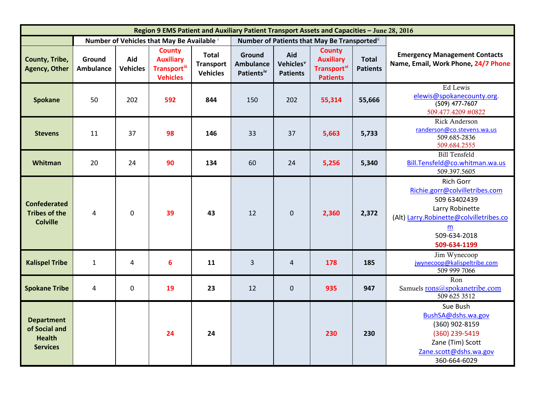<span id="page-2-5"></span><span id="page-2-4"></span><span id="page-2-3"></span><span id="page-2-2"></span><span id="page-2-1"></span><span id="page-2-0"></span>

| Region 9 EMS Patient and Auxiliary Patient Transport Assets and Capacities - June 28, 2016 |                                          |                        |                                                                      |                                                     |                                                      |                                                 |                                                                                        |                                 |                                                                                                                                                                                     |
|--------------------------------------------------------------------------------------------|------------------------------------------|------------------------|----------------------------------------------------------------------|-----------------------------------------------------|------------------------------------------------------|-------------------------------------------------|----------------------------------------------------------------------------------------|---------------------------------|-------------------------------------------------------------------------------------------------------------------------------------------------------------------------------------|
|                                                                                            | Number of Vehicles that May Be Available |                        |                                                                      |                                                     |                                                      |                                                 | Number of Patients that May Be Transported"                                            |                                 |                                                                                                                                                                                     |
| County, Tribe,<br><b>Agency, Other</b>                                                     | Ground<br><b>Ambulance</b>               | Aid<br><b>Vehicles</b> | <b>County</b><br><b>Auxiliary</b><br>Transportiii<br><b>Vehicles</b> | <b>Total</b><br><b>Transport</b><br><b>Vehicles</b> | Ground<br><b>Ambulance</b><br>Patients <sup>iv</sup> | Aid<br>Vehicles <sup>v</sup><br><b>Patients</b> | <b>County</b><br><b>Auxiliary</b><br><b>Transport</b> <sup>vi</sup><br><b>Patients</b> | <b>Total</b><br><b>Patients</b> | <b>Emergency Management Contacts</b><br>Name, Email, Work Phone, 24/7 Phone                                                                                                         |
| <b>Spokane</b>                                                                             | 50                                       | 202                    | 592                                                                  | 844                                                 | 150                                                  | 202                                             | 55,314                                                                                 | 55,666                          | Ed Lewis<br>elewis@spokanecounty.org.<br>$(509)$ 477-7607<br>509.477.4209 #0822                                                                                                     |
| <b>Stevens</b>                                                                             | 11                                       | 37                     | 98                                                                   | 146                                                 | 33                                                   | 37                                              | 5,663                                                                                  | 5,733                           | <b>Rick Anderson</b><br>randerson@co.stevens.wa.us<br>509.685-2836<br>509.684.2555                                                                                                  |
| Whitman                                                                                    | 20                                       | 24                     | 90                                                                   | 134                                                 | 60                                                   | 24                                              | 5,256                                                                                  | 5,340                           | <b>Bill Tensfeld</b><br>Bill.Tensfeld@co.whitman.wa.us<br>509.397.5605                                                                                                              |
| <b>Confederated</b><br><b>Tribes of the</b><br><b>Colville</b>                             | $\overline{4}$                           | $\mathbf 0$            | 39                                                                   | 43                                                  | 12                                                   | $\mathbf{0}$                                    | 2,360                                                                                  | 2,372                           | <b>Rich Gorr</b><br>Richie.gorr@colvilletribes.com<br>509 63402439<br>Larry Robinette<br>(Alt) Larry.Robinette@colvilletribes.co<br>$\underline{m}$<br>509-634-2018<br>509-634-1199 |
| <b>Kalispel Tribe</b>                                                                      | $\mathbf{1}$                             | 4                      | 6                                                                    | 11                                                  | $\overline{3}$                                       | $\overline{4}$                                  | 178                                                                                    | 185                             | Jim Wynecoop<br>jwynecoop@kalispeltribe.com<br>509 999 7066                                                                                                                         |
| <b>Spokane Tribe</b>                                                                       | $\overline{4}$                           | $\mathbf 0$            | 19                                                                   | 23                                                  | 12                                                   | $\mathbf 0$                                     | 935                                                                                    | 947                             | Ron<br>Samuels rons@spokanetribe.com<br>509 625 3512                                                                                                                                |
| <b>Department</b><br>of Social and<br><b>Health</b><br><b>Services</b>                     |                                          |                        | 24                                                                   | 24                                                  |                                                      |                                                 | 230                                                                                    | 230                             | Sue Bush<br>BushSA@dshs.wa.gov<br>(360) 902-8159<br>(360) 239-5419<br>Zane (Tim) Scott<br>Zane.scott@dshs.wa.gov<br>360-664-6029                                                    |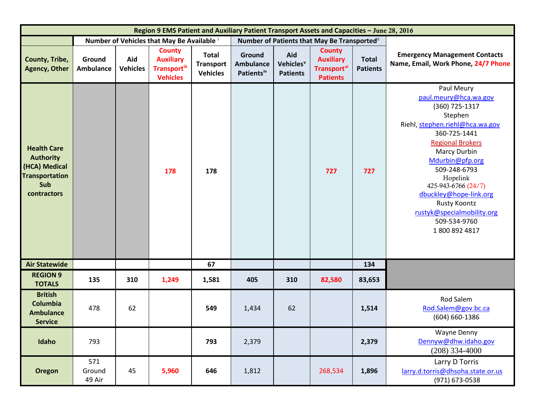| Region 9 EMS Patient and Auxiliary Patient Transport Assets and Capacities - June 28, 2016             |                            |                        |                                                                              |                                                     |                                                      |                                                 |                                                                                        |                                 |                                                                                                                                                                                                                                                                                                                                                    |
|--------------------------------------------------------------------------------------------------------|----------------------------|------------------------|------------------------------------------------------------------------------|-----------------------------------------------------|------------------------------------------------------|-------------------------------------------------|----------------------------------------------------------------------------------------|---------------------------------|----------------------------------------------------------------------------------------------------------------------------------------------------------------------------------------------------------------------------------------------------------------------------------------------------------------------------------------------------|
|                                                                                                        |                            |                        | Number of Vehicles that May Be Available i                                   |                                                     | Number of Patients that May Be Transported"          |                                                 |                                                                                        |                                 |                                                                                                                                                                                                                                                                                                                                                    |
| County, Tribe,<br><b>Agency, Other</b>                                                                 | Ground<br><b>Ambulance</b> | Aid<br><b>Vehicles</b> | <b>County</b><br><b>Auxiliary</b><br><b>Transport</b> iii<br><b>Vehicles</b> | <b>Total</b><br><b>Transport</b><br><b>Vehicles</b> | Ground<br><b>Ambulance</b><br>Patients <sup>iv</sup> | Aid<br>Vehicles <sup>v</sup><br><b>Patients</b> | <b>County</b><br><b>Auxiliary</b><br><b>Transport</b> <sup>vi</sup><br><b>Patients</b> | <b>Total</b><br><b>Patients</b> | <b>Emergency Management Contacts</b><br>Name, Email, Work Phone, 24/7 Phone                                                                                                                                                                                                                                                                        |
| <b>Health Care</b><br><b>Authority</b><br>(HCA) Medical<br><b>Transportation</b><br>Sub<br>contractors |                            |                        | 178                                                                          | 178                                                 |                                                      |                                                 | 727                                                                                    | 727                             | Paul Meury<br>paul.meury@hca.wa.gov<br>(360) 725-1317<br>Stephen<br>Riehl, stephen.riehl@hca.wa.gov<br>360-725-1441<br><b>Regional Brokers</b><br>Marcy Durbin<br>Mdurbin@pfp.org<br>509-248-6793<br>Hopelink<br>425-943-6766 (24/7)<br>dbuckley@hope-link.org<br><b>Rusty Koontz</b><br>rustyk@specialmobility.org<br>509-534-9760<br>18008924817 |
| <b>Air Statewide</b>                                                                                   |                            |                        |                                                                              | 67                                                  |                                                      |                                                 |                                                                                        | 134                             |                                                                                                                                                                                                                                                                                                                                                    |
| <b>REGION 9</b><br><b>TOTALS</b>                                                                       | 135                        | 310                    | 1,249                                                                        | 1,581                                               | 405                                                  | 310                                             | 82,580                                                                                 | 83,653                          |                                                                                                                                                                                                                                                                                                                                                    |
| <b>British</b><br>Columbia<br><b>Ambulance</b><br><b>Service</b>                                       | 478                        | 62                     |                                                                              | 549                                                 | 1,434                                                | 62                                              |                                                                                        | 1,514                           | Rod Salem<br>Rod.Salem@gov.bc.ca<br>$(604) 660 - 1386$                                                                                                                                                                                                                                                                                             |
| Idaho                                                                                                  | 793                        |                        |                                                                              | 793                                                 | 2,379                                                |                                                 |                                                                                        | 2,379                           | <b>Wayne Denny</b><br>Dennyw@dhw.idaho.gov<br>$(208)$ 334-4000                                                                                                                                                                                                                                                                                     |
| <b>Oregon</b>                                                                                          | 571<br>Ground<br>49 Air    | 45                     | 5,960                                                                        | 646                                                 | 1,812                                                |                                                 | 268,534                                                                                | 1,896                           | Larry D Torris<br>larry.d.torris@dhsoha.state.or.us<br>(971) 673-0538                                                                                                                                                                                                                                                                              |